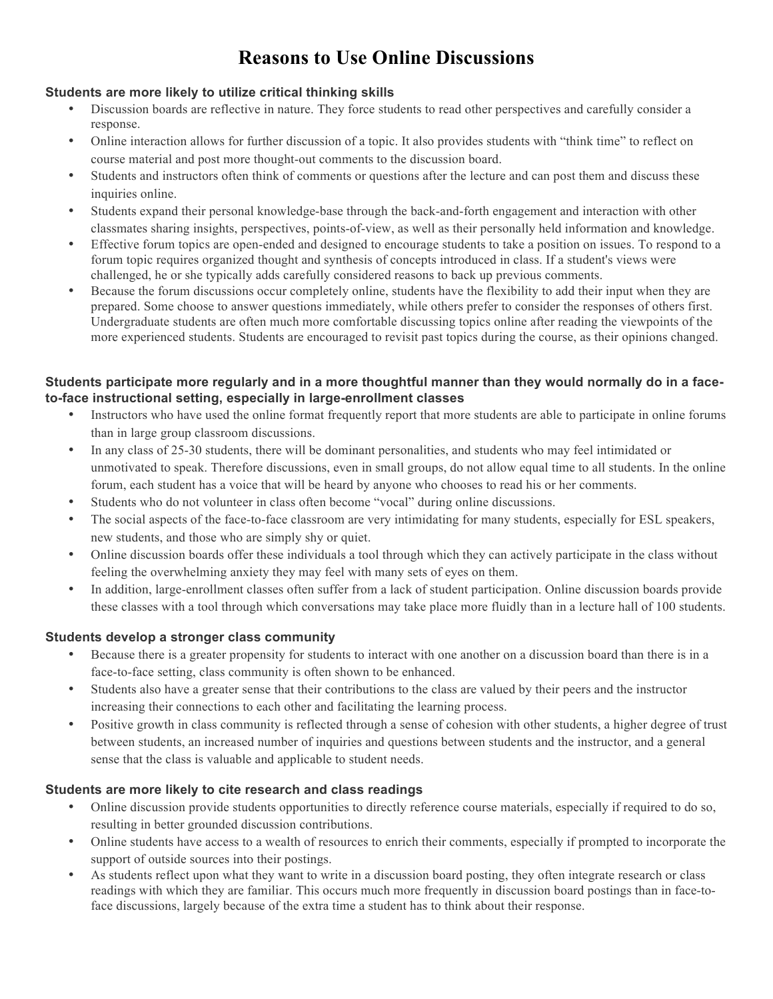# **Reasons to Use Online Discussions**

#### **Students are more likely to utilize critical thinking skills**

- Discussion boards are reflective in nature. They force students to read other perspectives and carefully consider a response.
- Online interaction allows for further discussion of a topic. It also provides students with "think time" to reflect on course material and post more thought-out comments to the discussion board.
- Students and instructors often think of comments or questions after the lecture and can post them and discuss these inquiries online.
- Students expand their personal knowledge-base through the back-and-forth engagement and interaction with other classmates sharing insights, perspectives, points-of-view, as well as their personally held information and knowledge.
- Effective forum topics are open-ended and designed to encourage students to take a position on issues. To respond to a forum topic requires organized thought and synthesis of concepts introduced in class. If a student's views were challenged, he or she typically adds carefully considered reasons to back up previous comments.
- Because the forum discussions occur completely online, students have the flexibility to add their input when they are prepared. Some choose to answer questions immediately, while others prefer to consider the responses of others first. Undergraduate students are often much more comfortable discussing topics online after reading the viewpoints of the more experienced students. Students are encouraged to revisit past topics during the course, as their opinions changed.

#### **Students participate more regularly and in a more thoughtful manner than they would normally do in a faceto-face instructional setting, especially in large-enrollment classes**

- Instructors who have used the online format frequently report that more students are able to participate in online forums than in large group classroom discussions.
- In any class of 25-30 students, there will be dominant personalities, and students who may feel intimidated or unmotivated to speak. Therefore discussions, even in small groups, do not allow equal time to all students. In the online forum, each student has a voice that will be heard by anyone who chooses to read his or her comments.
- Students who do not volunteer in class often become "vocal" during online discussions.
- The social aspects of the face-to-face classroom are very intimidating for many students, especially for ESL speakers, new students, and those who are simply shy or quiet.
- Online discussion boards offer these individuals a tool through which they can actively participate in the class without feeling the overwhelming anxiety they may feel with many sets of eyes on them.
- In addition, large-enrollment classes often suffer from a lack of student participation. Online discussion boards provide these classes with a tool through which conversations may take place more fluidly than in a lecture hall of 100 students.

## **Students develop a stronger class community**

- Because there is a greater propensity for students to interact with one another on a discussion board than there is in a face-to-face setting, class community is often shown to be enhanced.
- Students also have a greater sense that their contributions to the class are valued by their peers and the instructor increasing their connections to each other and facilitating the learning process.
- Positive growth in class community is reflected through a sense of cohesion with other students, a higher degree of trust between students, an increased number of inquiries and questions between students and the instructor, and a general sense that the class is valuable and applicable to student needs.

## **Students are more likely to cite research and class readings**

- Online discussion provide students opportunities to directly reference course materials, especially if required to do so, resulting in better grounded discussion contributions.
- Online students have access to a wealth of resources to enrich their comments, especially if prompted to incorporate the support of outside sources into their postings.
- As students reflect upon what they want to write in a discussion board posting, they often integrate research or class readings with which they are familiar. This occurs much more frequently in discussion board postings than in face-toface discussions, largely because of the extra time a student has to think about their response.